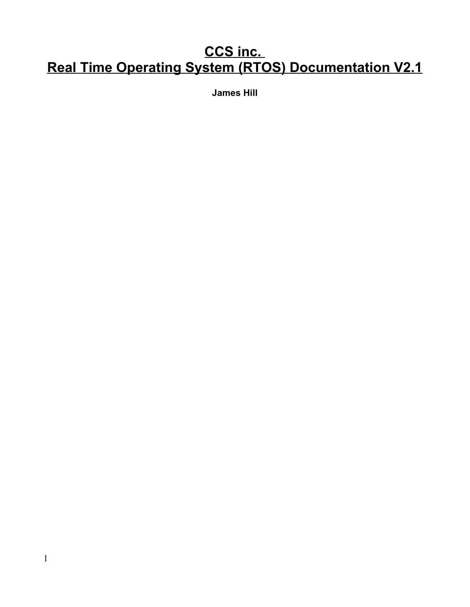# **CCS inc. Real Time Operating System (RTOS) Documentation V2.1**

**James Hill**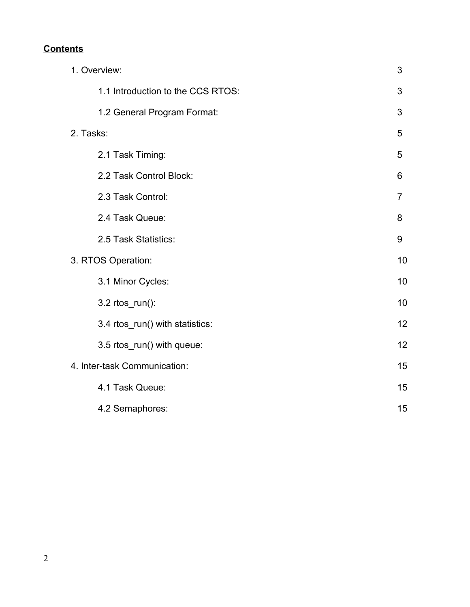## **Contents**

| 1. Overview:                 |                                   |                |
|------------------------------|-----------------------------------|----------------|
|                              | 1.1 Introduction to the CCS RTOS: | 3              |
|                              | 1.2 General Program Format:       | 3              |
| 2. Tasks:                    |                                   |                |
|                              | 2.1 Task Timing:                  | 5              |
|                              | 2.2 Task Control Block:           | 6              |
|                              | 2.3 Task Control:                 | $\overline{7}$ |
|                              | 2.4 Task Queue:                   | 8              |
|                              | 2.5 Task Statistics:              | 9              |
| 3. RTOS Operation:           |                                   |                |
|                              | 3.1 Minor Cycles:                 | 10             |
|                              | 3.2 rtos_run():                   | 10             |
|                              | 3.4 rtos_run() with statistics:   | 12             |
|                              | 3.5 rtos_run() with queue:        | 12             |
| 4. Inter-task Communication: |                                   |                |
|                              | 4.1 Task Queue:                   | 15             |
|                              | 4.2 Semaphores:                   | 15             |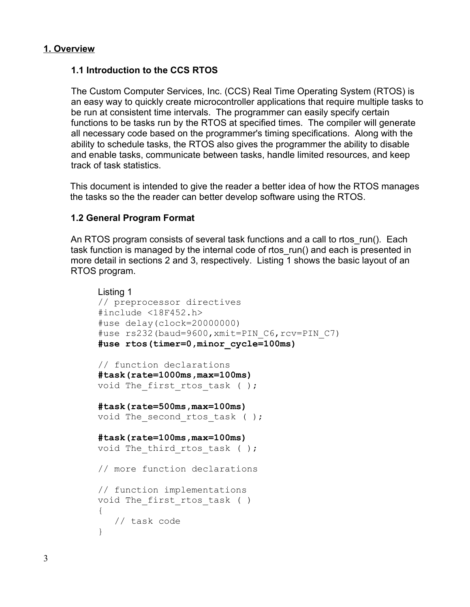#### **1. Overview**

## **1.1 Introduction to the CCS RTOS**

The Custom Computer Services, Inc. (CCS) Real Time Operating System (RTOS) is an easy way to quickly create microcontroller applications that require multiple tasks to be run at consistent time intervals. The programmer can easily specify certain functions to be tasks run by the RTOS at specified times. The compiler will generate all necessary code based on the programmer's timing specifications. Along with the ability to schedule tasks, the RTOS also gives the programmer the ability to disable and enable tasks, communicate between tasks, handle limited resources, and keep track of task statistics.

This document is intended to give the reader a better idea of how the RTOS manages the tasks so the the reader can better develop software using the RTOS.

#### **1.2 General Program Format**

An RTOS program consists of several task functions and a call to rtos run(). Each task function is managed by the internal code of rtos run() and each is presented in more detail in sections 2 and 3, respectively. Listing 1 shows the basic layout of an RTOS program.

```
Listing 1
// preprocessor directives
#include <18F452.h>
#use delay(clock=20000000)
#use rs232(baud=9600,xmit=PIN_C6,rcv=PIN_C7)
#use rtos(timer=0,minor_cycle=100ms)
// function declarations
#task(rate=1000ms,max=100ms)
void The first rtos task ( );
#task(rate=500ms,max=100ms)
void The second rtos task ( );
#task(rate=100ms,max=100ms)
void The third rtos task ( );
// more function declarations
// function implementations
void The first rtos task ( )
{
   // task code
}
```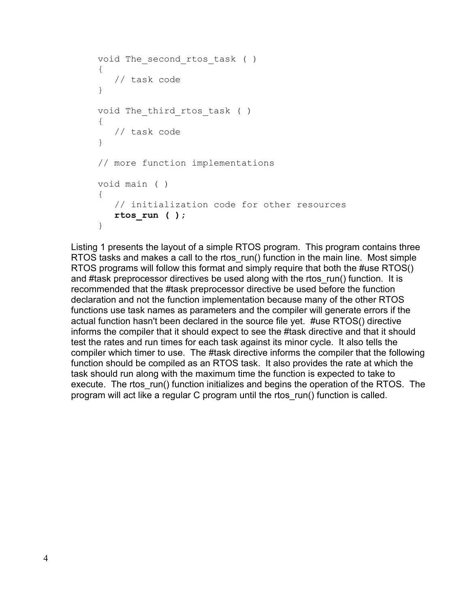```
void The second rtos task ( )
{
    // task code
}
void The third rtos task ( )
{
    // task code
}
// more function implementations
void main ( )
{
    // initialization code for other resources
    rtos_run ( );
}
```
Listing 1 presents the layout of a simple RTOS program. This program contains three RTOS tasks and makes a call to the rtos run() function in the main line. Most simple RTOS programs will follow this format and simply require that both the #use RTOS() and #task preprocessor directives be used along with the rtos run() function. It is recommended that the #task preprocessor directive be used before the function declaration and not the function implementation because many of the other RTOS functions use task names as parameters and the compiler will generate errors if the actual function hasn't been declared in the source file yet. #use RTOS() directive informs the compiler that it should expect to see the #task directive and that it should test the rates and run times for each task against its minor cycle. It also tells the compiler which timer to use. The #task directive informs the compiler that the following function should be compiled as an RTOS task. It also provides the rate at which the task should run along with the maximum time the function is expected to take to execute. The rtos run() function initializes and begins the operation of the RTOS. The program will act like a regular C program until the rtos\_run() function is called.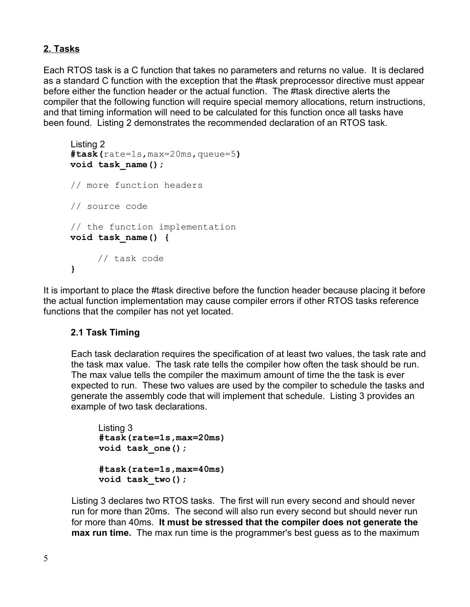## **2. Tasks**

Each RTOS task is a C function that takes no parameters and returns no value. It is declared as a standard C function with the exception that the #task preprocessor directive must appear before either the function header or the actual function. The #task directive alerts the compiler that the following function will require special memory allocations, return instructions, and that timing information will need to be calculated for this function once all tasks have been found. Listing 2 demonstrates the recommended declaration of an RTOS task.

```
Listing 2
#task(rate=1s,max=20ms,queue=5)
void task_name();
// more function headers
// source code
// the function implementation
void task_name() {
     // task code
}
```
It is important to place the #task directive before the function header because placing it before the actual function implementation may cause compiler errors if other RTOS tasks reference functions that the compiler has not yet located.

## **2.1 Task Timing**

Each task declaration requires the specification of at least two values, the task rate and the task max value. The task rate tells the compiler how often the task should be run. The max value tells the compiler the maximum amount of time the the task is ever expected to run. These two values are used by the compiler to schedule the tasks and generate the assembly code that will implement that schedule. Listing 3 provides an example of two task declarations.

```
Listing 3
#task(rate=1s,max=20ms)
void task_one();
#task(rate=1s,max=40ms)
void task_two();
```
Listing 3 declares two RTOS tasks. The first will run every second and should never run for more than 20ms. The second will also run every second but should never run for more than 40ms. **It must be stressed that the compiler does not generate the max run time.** The max run time is the programmer's best guess as to the maximum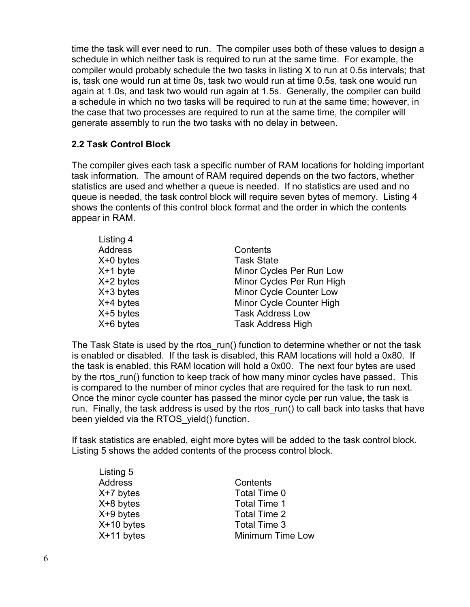time the task will ever need to run. The compiler uses both of these values to design a schedule in which neither task is required to run at the same time. For example, the compiler would probably schedule the two tasks in listing X to run at 0.5s intervals; that is, task one would run at time 0s, task two would run at time 0.5s, task one would run again at 1.0s, and task two would run again at 1.5s. Generally, the compiler can build a schedule in which no two tasks will be required to run at the same time; however, in the case that two processes are required to run at the same time, the compiler will generate assembly to run the two tasks with no delay in between.

## **2.2 Task Control Block**

Lieting 5

The compiler gives each task a specific number of RAM locations for holding important task information. The amount of RAM required depends on the two factors, whether statistics are used and whether a queue is needed. If no statistics are used and no queue is needed, the task control block will require seven bytes of memory. Listing 4 shows the contents of this control block format and the order in which the contents appear in RAM.

| Listing 4<br>Address<br>$X+0$ bytes<br>$X+1$ byte<br>$X+2$ bytes<br>$X+3$ bytes<br>$X+4$ bytes | Contents<br><b>Task State</b><br>Minor Cycles Per Run Low<br>Minor Cycles Per Run High<br>Minor Cycle Counter Low<br>Minor Cycle Counter High<br><b>Task Address Low</b> |
|------------------------------------------------------------------------------------------------|--------------------------------------------------------------------------------------------------------------------------------------------------------------------------|
| $X+5$ bytes<br>$X+6$ bytes                                                                     | <b>Task Address High</b>                                                                                                                                                 |
|                                                                                                |                                                                                                                                                                          |

The Task State is used by the rtos run() function to determine whether or not the task is enabled or disabled. If the task is disabled, this RAM locations will hold a 0x80. If the task is enabled, this RAM location will hold a 0x00. The next four bytes are used by the rtos run() function to keep track of how many minor cycles have passed. This is compared to the number of minor cycles that are required for the task to run next. Once the minor cycle counter has passed the minor cycle per run value, the task is run. Finally, the task address is used by the rtos run() to call back into tasks that have been yielded via the RTOS yield() function.

If task statistics are enabled, eight more bytes will be added to the task control block. Listing 5 shows the added contents of the process control block.

| Listing J    |                  |
|--------------|------------------|
| Address      | Contents         |
| $X+7$ bytes  | Total Time 0     |
| $X+8$ bytes  | Total Time 1     |
| $X+9$ bytes  | Total Time 2     |
| $X+10$ bytes | Total Time 3     |
| $X+11$ bytes | Minimum Time Low |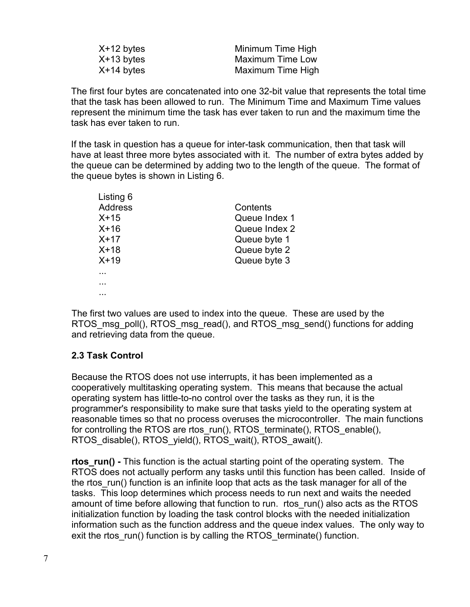| $X+12$ bytes | Minimum Time High       |
|--------------|-------------------------|
| $X+13$ bytes | <b>Maximum Time Low</b> |
| $X+14$ bytes | Maximum Time High       |

The first four bytes are concatenated into one 32-bit value that represents the total time that the task has been allowed to run. The Minimum Time and Maximum Time values represent the minimum time the task has ever taken to run and the maximum time the task has ever taken to run.

If the task in question has a queue for inter-task communication, then that task will have at least three more bytes associated with it. The number of extra bytes added by the queue can be determined by adding two to the length of the queue. The format of the queue bytes is shown in Listing 6.

| Listing 6      |               |
|----------------|---------------|
| <b>Address</b> | Contents      |
| $X+15$         | Queue Index 1 |
| $X+16$         | Queue Index 2 |
| $X+17$         | Queue byte 1  |
| $X+18$         | Queue byte 2  |
| $X+19$         | Queue byte 3  |
|                |               |
|                |               |
|                |               |

The first two values are used to index into the queue. These are used by the RTOS msg\_poll(), RTOS\_msg\_read(), and RTOS\_msg\_send() functions for adding and retrieving data from the queue.

## **2.3 Task Control**

Because the RTOS does not use interrupts, it has been implemented as a cooperatively multitasking operating system. This means that because the actual operating system has little-to-no control over the tasks as they run, it is the programmer's responsibility to make sure that tasks yield to the operating system at reasonable times so that no process overuses the microcontroller. The main functions for controlling the RTOS are rtos\_run(), RTOS\_terminate(), RTOS\_enable(), RTOS\_disable(), RTOS\_yield(), RTOS\_wait(), RTOS\_await().

**rtos run()** - This function is the actual starting point of the operating system. The RTOS does not actually perform any tasks until this function has been called. Inside of the rtos run() function is an infinite loop that acts as the task manager for all of the tasks. This loop determines which process needs to run next and waits the needed amount of time before allowing that function to run. rtos\_run() also acts as the RTOS initialization function by loading the task control blocks with the needed initialization information such as the function address and the queue index values. The only way to exit the rtos run() function is by calling the RTOS terminate() function.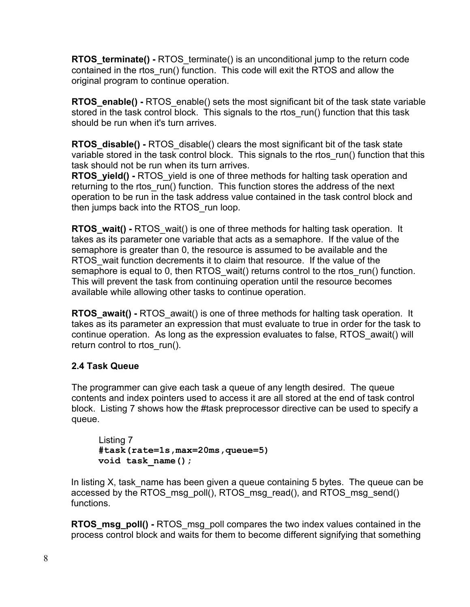**RTOS terminate() - RTOS** terminate() is an unconditional jump to the return code contained in the rtos run() function. This code will exit the RTOS and allow the original program to continue operation.

**RTOS** enable() - RTOS enable() sets the most significant bit of the task state variable stored in the task control block. This signals to the rtos run() function that this task should be run when it's turn arrives.

**RTOS\_disable() -** RTOS\_disable() clears the most significant bit of the task state variable stored in the task control block. This signals to the rtos run() function that this task should not be run when its turn arrives.

**RTOS** yield() - RTOS yield is one of three methods for halting task operation and returning to the rtos run() function. This function stores the address of the next operation to be run in the task address value contained in the task control block and then jumps back into the RTOS run loop.

**RTOS** wait() - RTOS wait() is one of three methods for halting task operation. It takes as its parameter one variable that acts as a semaphore. If the value of the semaphore is greater than 0, the resource is assumed to be available and the RTOS\_wait function decrements it to claim that resource. If the value of the semaphore is equal to 0, then RTOS wait() returns control to the rtos run() function. This will prevent the task from continuing operation until the resource becomes available while allowing other tasks to continue operation.

**RTOS** await() - RTOS await() is one of three methods for halting task operation. It takes as its parameter an expression that must evaluate to true in order for the task to continue operation. As long as the expression evaluates to false, RTOS\_await() will return control to rtos run().

## **2.4 Task Queue**

The programmer can give each task a queue of any length desired. The queue contents and index pointers used to access it are all stored at the end of task control block. Listing 7 shows how the #task preprocessor directive can be used to specify a queue.

```
Listing 7
#task(rate=1s,max=20ms,queue=5)
void task_name();
```
In listing X, task name has been given a queue containing 5 bytes. The queue can be accessed by the RTOS\_msg\_poll(), RTOS\_msg\_read(), and RTOS\_msg\_send() functions.

**RTOS msg poll() - RTOS** msg poll compares the two index values contained in the process control block and waits for them to become different signifying that something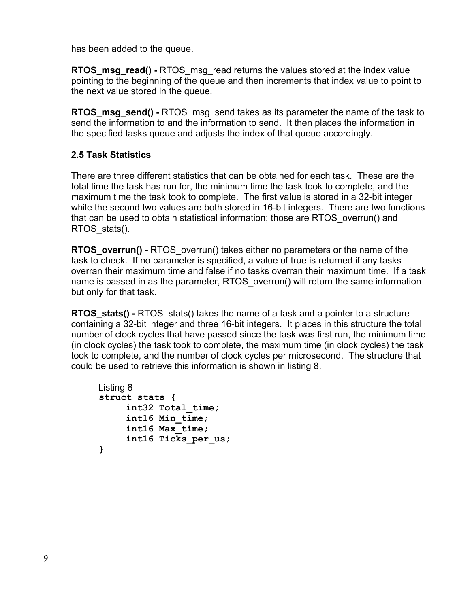has been added to the queue.

**RTOS msg read() - RTOS** msg read returns the values stored at the index value pointing to the beginning of the queue and then increments that index value to point to the next value stored in the queue.

**RTOS** msg send() - RTOS msg send takes as its parameter the name of the task to send the information to and the information to send. It then places the information in the specified tasks queue and adjusts the index of that queue accordingly.

## **2.5 Task Statistics**

There are three different statistics that can be obtained for each task. These are the total time the task has run for, the minimum time the task took to complete, and the maximum time the task took to complete. The first value is stored in a 32-bit integer while the second two values are both stored in 16-bit integers. There are two functions that can be used to obtain statistical information; those are RTOS\_overrun() and RTOS\_stats().

**RTOS** overrun() - RTOS overrun() takes either no parameters or the name of the task to check. If no parameter is specified, a value of true is returned if any tasks overran their maximum time and false if no tasks overran their maximum time. If a task name is passed in as the parameter, RTOS overrun() will return the same information but only for that task.

**RTOS** stats() - RTOS stats() takes the name of a task and a pointer to a structure containing a 32-bit integer and three 16-bit integers. It places in this structure the total number of clock cycles that have passed since the task was first run, the minimum time (in clock cycles) the task took to complete, the maximum time (in clock cycles) the task took to complete, and the number of clock cycles per microsecond. The structure that could be used to retrieve this information is shown in listing 8.

```
Listing 8
struct stats {
     int32 Total_time;
     int16 Min_time;
     int16 Max_time;
     int16 Ticks_per_us;
}
```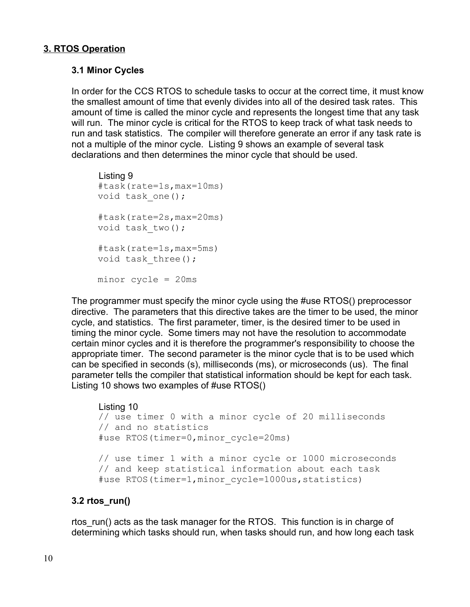## **3. RTOS Operation**

## **3.1 Minor Cycles**

In order for the CCS RTOS to schedule tasks to occur at the correct time, it must know the smallest amount of time that evenly divides into all of the desired task rates. This amount of time is called the minor cycle and represents the longest time that any task will run. The minor cycle is critical for the RTOS to keep track of what task needs to run and task statistics. The compiler will therefore generate an error if any task rate is not a multiple of the minor cycle. Listing 9 shows an example of several task declarations and then determines the minor cycle that should be used.

```
Listing 9
#task(rate=1s,max=10ms)
void task one();
#task(rate=2s,max=20ms)
void task_two();
#task(rate=1s,max=5ms)
void task three();
minor cycle = 20ms
```
The programmer must specify the minor cycle using the #use RTOS() preprocessor directive. The parameters that this directive takes are the timer to be used, the minor cycle, and statistics. The first parameter, timer, is the desired timer to be used in timing the minor cycle. Some timers may not have the resolution to accommodate certain minor cycles and it is therefore the programmer's responsibility to choose the appropriate timer. The second parameter is the minor cycle that is to be used which can be specified in seconds (s), milliseconds (ms), or microseconds (us). The final parameter tells the compiler that statistical information should be kept for each task. Listing 10 shows two examples of #use RTOS()

## Listing 10

```
// use timer 0 with a minor cycle of 20 milliseconds
// and no statistics 
#use RTOS(timer=0,minor_cycle=20ms)
// use timer 1 with a minor cycle or 1000 microseconds
// and keep statistical information about each task
#use RTOS(timer=1, minor cycle=1000us, statistics)
```
## **3.2 rtos\_run()**

rtos\_run() acts as the task manager for the RTOS. This function is in charge of determining which tasks should run, when tasks should run, and how long each task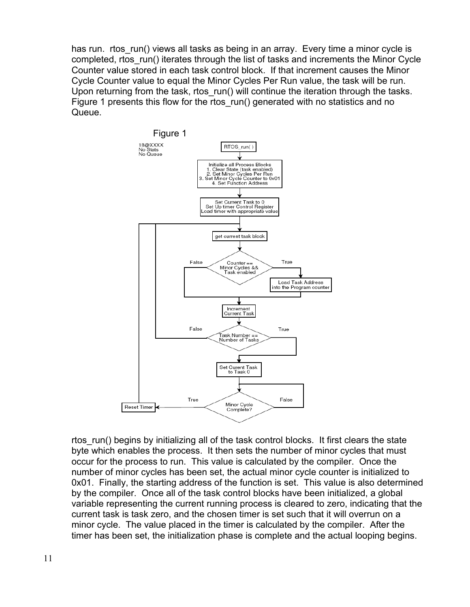has run. rtos\_run() views all tasks as being in an array. Every time a minor cycle is completed, rtos run() iterates through the list of tasks and increments the Minor Cycle Counter value stored in each task control block. If that increment causes the Minor Cycle Counter value to equal the Minor Cycles Per Run value, the task will be run. Upon returning from the task, rtos run() will continue the iteration through the tasks. Figure 1 presents this flow for the rtos\_run() generated with no statistics and no Queue.



rtos run() begins by initializing all of the task control blocks. It first clears the state byte which enables the process. It then sets the number of minor cycles that must occur for the process to run. This value is calculated by the compiler. Once the number of minor cycles has been set, the actual minor cycle counter is initialized to 0x01. Finally, the starting address of the function is set. This value is also determined by the compiler. Once all of the task control blocks have been initialized, a global variable representing the current running process is cleared to zero, indicating that the current task is task zero, and the chosen timer is set such that it will overrun on a minor cycle. The value placed in the timer is calculated by the compiler. After the timer has been set, the initialization phase is complete and the actual looping begins.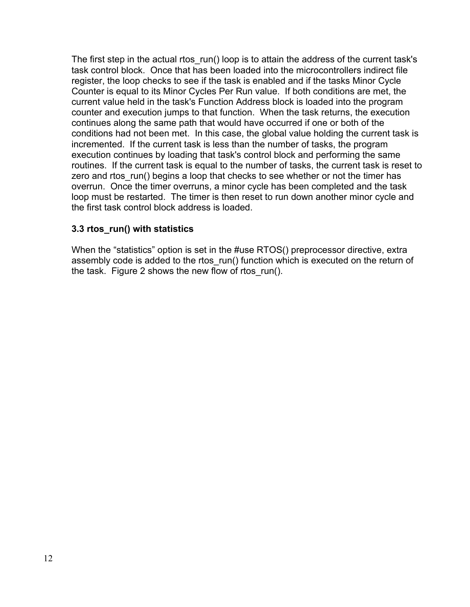The first step in the actual rtos run() loop is to attain the address of the current task's task control block. Once that has been loaded into the microcontrollers indirect file register, the loop checks to see if the task is enabled and if the tasks Minor Cycle Counter is equal to its Minor Cycles Per Run value. If both conditions are met, the current value held in the task's Function Address block is loaded into the program counter and execution jumps to that function. When the task returns, the execution continues along the same path that would have occurred if one or both of the conditions had not been met. In this case, the global value holding the current task is incremented. If the current task is less than the number of tasks, the program execution continues by loading that task's control block and performing the same routines. If the current task is equal to the number of tasks, the current task is reset to zero and rtos run() begins a loop that checks to see whether or not the timer has overrun. Once the timer overruns, a minor cycle has been completed and the task loop must be restarted. The timer is then reset to run down another minor cycle and the first task control block address is loaded.

## **3.3 rtos\_run() with statistics**

When the "statistics" option is set in the #use RTOS() preprocessor directive, extra assembly code is added to the rtos run() function which is executed on the return of the task. Figure 2 shows the new flow of rtos run().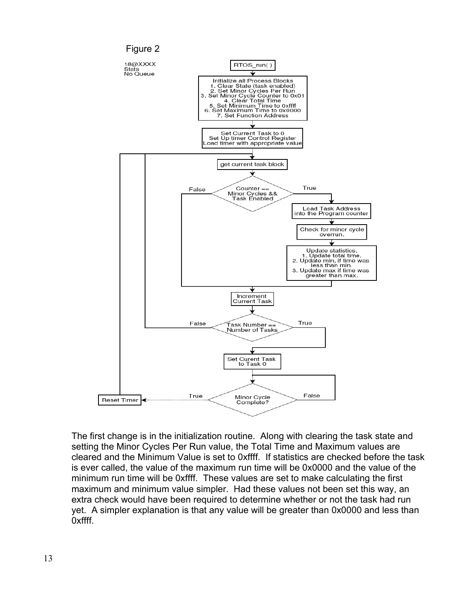

The first change is in the initialization routine. Along with clearing the task state and setting the Minor Cycles Per Run value, the Total Time and Maximum values are cleared and the Minimum Value is set to 0xffff. If statistics are checked before the task is ever called, the value of the maximum run time will be 0x0000 and the value of the minimum run time will be 0xffff. These values are set to make calculating the first maximum and minimum value simpler. Had these values not been set this way, an extra check would have been required to determine whether or not the task had run yet. A simpler explanation is that any value will be greater than 0x0000 and less than 0xffff.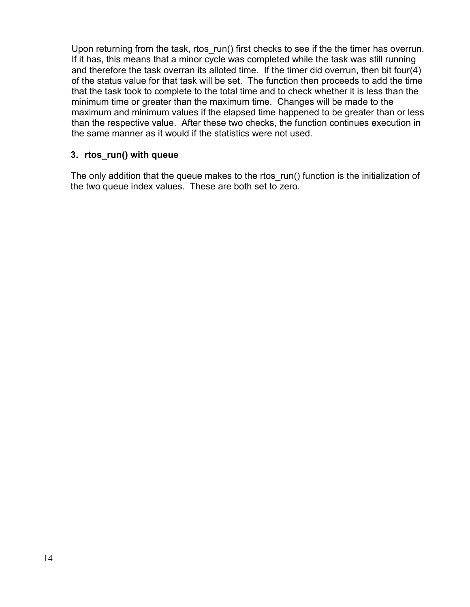Upon returning from the task, rtos\_run() first checks to see if the the timer has overrun. If it has, this means that a minor cycle was completed while the task was still running and therefore the task overran its alloted time. If the timer did overrun, then bit four(4) of the status value for that task will be set. The function then proceeds to add the time that the task took to complete to the total time and to check whether it is less than the minimum time or greater than the maximum time. Changes will be made to the maximum and minimum values if the elapsed time happened to be greater than or less than the respective value. After these two checks, the function continues execution in the same manner as it would if the statistics were not used.

#### **3. rtos\_run() with queue**

The only addition that the queue makes to the rtos run() function is the initialization of the two queue index values. These are both set to zero.